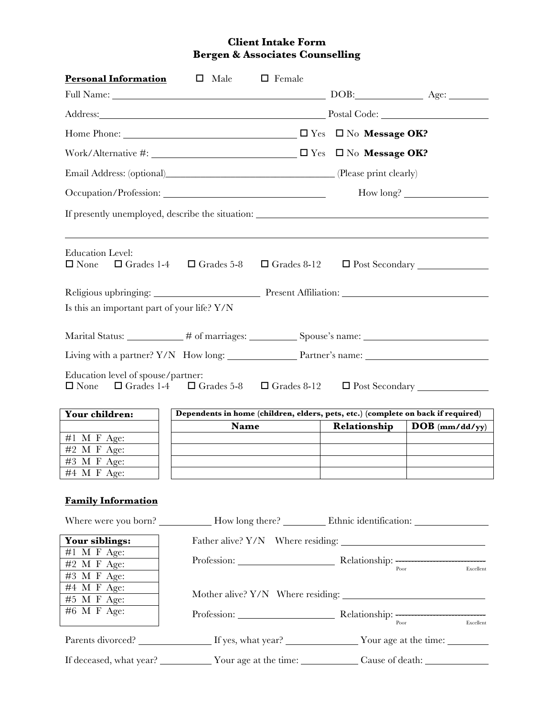## **Client Intake Form Bergen & Associates Counselling**

| <b>Personal Information</b>                                            | Male<br>$\Box$                                                  | $\Box$ Female      |                                                                      |                                                                                  |  |
|------------------------------------------------------------------------|-----------------------------------------------------------------|--------------------|----------------------------------------------------------------------|----------------------------------------------------------------------------------|--|
| Full Name: <u>New York: Age: Age:</u>                                  |                                                                 |                    |                                                                      |                                                                                  |  |
| Address: Postal Code: Postal Code:                                     |                                                                 |                    |                                                                      |                                                                                  |  |
|                                                                        |                                                                 |                    |                                                                      |                                                                                  |  |
| Work/Alternative #: $\Box$ Yes $\Box$ No <b>Message OK?</b>            |                                                                 |                    |                                                                      |                                                                                  |  |
|                                                                        |                                                                 |                    |                                                                      |                                                                                  |  |
| Occupation/Profession:                                                 |                                                                 |                    | How long?                                                            |                                                                                  |  |
|                                                                        |                                                                 |                    |                                                                      |                                                                                  |  |
| <b>Education Level:</b><br>$\square$ None<br>$\Box$ Grades 1-4         | $\Box$ Grades 5-8                                               | $\Box$ Grades 8-12 |                                                                      | $\Box$ Post Secondary $\Box$                                                     |  |
|                                                                        | Religious upbringing: Present Affiliation: Present Affiliation: |                    |                                                                      |                                                                                  |  |
| Is this an important part of your life? Y/N                            |                                                                 |                    |                                                                      |                                                                                  |  |
|                                                                        |                                                                 |                    |                                                                      |                                                                                  |  |
| Living with a partner? Y/N How long: Partner's name: Name:             |                                                                 |                    |                                                                      |                                                                                  |  |
| Education level of spouse/partner:<br>$\square$ None<br>Your children: |                                                                 |                    |                                                                      | Dependents in home (children, elders, pets, etc.) (complete on back if required) |  |
|                                                                        | Name                                                            |                    | Relationship                                                         | $\bf{DOB}$ (mm/dd/yy)                                                            |  |
| #1 M F Age:                                                            |                                                                 |                    |                                                                      |                                                                                  |  |
| #2 M F Age:                                                            |                                                                 |                    |                                                                      |                                                                                  |  |
| #3 M F Age:                                                            |                                                                 |                    |                                                                      |                                                                                  |  |
| #4 M F Age:                                                            |                                                                 |                    |                                                                      |                                                                                  |  |
| <b>Family Information</b>                                              |                                                                 |                    |                                                                      |                                                                                  |  |
| Your siblings:                                                         |                                                                 |                    |                                                                      |                                                                                  |  |
| $#1$ M F Age:                                                          |                                                                 |                    |                                                                      |                                                                                  |  |
| $#2$ M F Age:                                                          |                                                                 |                    | Profession: <u>Relationship:</u> Relationship: Profession: Excellent |                                                                                  |  |
| #3 M F Age:                                                            |                                                                 |                    |                                                                      |                                                                                  |  |
|                                                                        |                                                                 |                    |                                                                      |                                                                                  |  |
| #4 M F Age:                                                            |                                                                 |                    |                                                                      |                                                                                  |  |
| #5 M F Age:                                                            |                                                                 |                    |                                                                      |                                                                                  |  |
| #6 M F Age:                                                            |                                                                 |                    |                                                                      | Poor<br>Excellent                                                                |  |
|                                                                        |                                                                 |                    | Parents divorced? If yes, what year? Vour age at the time:           |                                                                                  |  |
|                                                                        |                                                                 |                    |                                                                      |                                                                                  |  |